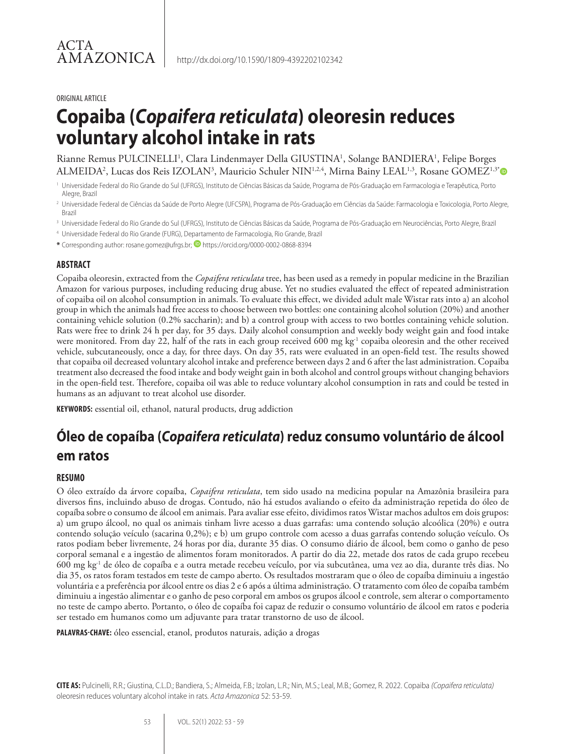#### ORIGINAL ARTICLE

# **Copaiba (***Copaifera reticulata***) oleoresin reduces voluntary alcohol intake in rats**

Rianne Remus PULCINELLI<sup>1</sup>, Clara Lindenmayer Della GIUSTINA<sup>1</sup>, Solange BANDIERA<sup>1</sup>, Felipe Borges ALMEIDA², Lucas dos Reis IZOLAN3, Mauricio Schuler NIN½4, Mirna Bainy LEAL½, Rosane GOMEZ½

- <sup>2</sup> Universidade Federal de Ciências da Saúde de Porto Alegre (UFCSPA), Programa de Pós-Graduação em Ciências da Saúde: Farmacologia e Toxicologia, Porto Alegre, Brazil
- <sup>3</sup> Universidade Federal do Rio Grande do Sul (UFRGS), Instituto de Ciências Básicas da Saúde, Programa de Pós-Graduação em Neurociências, Porto Alegre, Brazil
- <sup>4</sup> Universidade Federal do Rio Grande (FURG), Departamento de Farmacologia, Rio Grande, Brazil
- **\*** Corresponding author: rosane.gomez@ufrgs.br; https://orcid.org/0000-0002-0868-8394

#### **ABSTRACT**

Copaiba oleoresin, extracted from the *Copaifera reticulata* tree, has been used as a remedy in popular medicine in the Brazilian Amazon for various purposes, including reducing drug abuse. Yet no studies evaluated the effect of repeated administration of copaiba oil on alcohol consumption in animals. To evaluate this effect, we divided adult male Wistar rats into a) an alcohol group in which the animals had free access to choose between two bottles: one containing alcohol solution (20%) and another containing vehicle solution (0.2% saccharin); and b) a control group with access to two bottles containing vehicle solution. Rats were free to drink 24 h per day, for 35 days. Daily alcohol consumption and weekly body weight gain and food intake were monitored. From day 22, half of the rats in each group received 600 mg kg<sup>-1</sup> copaiba oleoresin and the other received vehicle, subcutaneously, once a day, for three days. On day 35, rats were evaluated in an open-field test. The results showed that copaiba oil decreased voluntary alcohol intake and preference between days 2 and 6 after the last administration. Copaiba treatment also decreased the food intake and body weight gain in both alcohol and control groups without changing behaviors in the open-field test. Therefore, copaiba oil was able to reduce voluntary alcohol consumption in rats and could be tested in humans as an adjuvant to treat alcohol use disorder.

**KEYWORDS:** essential oil, ethanol, natural products, drug addiction

# **Óleo de copaíba (***Copaifera reticulata***) reduz consumo voluntário de álcool em ratos**

#### **RESUMO**

O óleo extraído da árvore copaíba, *Copaifera reticulata*, tem sido usado na medicina popular na Amazônia brasileira para diversos fins, incluindo abuso de drogas. Contudo, não há estudos avaliando o efeito da administração repetida do óleo de copaíba sobre o consumo de álcool em animais. Para avaliar esse efeito, dividimos ratos Wistar machos adultos em dois grupos: a) um grupo álcool, no qual os animais tinham livre acesso a duas garrafas: uma contendo solução alcoólica (20%) e outra contendo solução veículo (sacarina 0,2%); e b) um grupo controle com acesso a duas garrafas contendo solução veículo. Os ratos podiam beber livremente, 24 horas por dia, durante 35 dias. O consumo diário de álcool, bem como o ganho de peso corporal semanal e a ingestão de alimentos foram monitorados. A partir do dia 22, metade dos ratos de cada grupo recebeu 600 mg kg-1 de óleo de copaíba e a outra metade recebeu veículo, por via subcutânea, uma vez ao dia, durante três dias. No dia 35, os ratos foram testados em teste de campo aberto. Os resultados mostraram que o óleo de copaíba diminuiu a ingestão voluntária e a preferência por álcool entre os dias 2 e 6 após a última administração. O tratamento com óleo de copaíba também diminuiu a ingestão alimentar e o ganho de peso corporal em ambos os grupos álcool e controle, sem alterar o comportamento no teste de campo aberto. Portanto, o óleo de copaíba foi capaz de reduzir o consumo voluntário de álcool em ratos e poderia ser testado em humanos como um adjuvante para tratar transtorno de uso de álcool.

**PALAVRAS-CHAVE:** óleo essencial, etanol, produtos naturais, adição a drogas

**CITE AS:** Pulcinelli, R.R.; Giustina, C.L.D.; Bandiera, S.; Almeida, F.B.; Izolan, L.R.; Nin, M.S.; Leal, M.B.; Gomez, R. 2022. Copaiba *(Copaifera reticulata)* oleoresin reduces voluntary alcohol intake in rats. *Acta Amazonica* 52: 53-59.

<sup>1</sup> Universidade Federal do Rio Grande do Sul (UFRGS), Instituto de Ciências Básicas da Saúde, Programa de Pós-Graduação em Farmacologia e Terapêutica, Porto Alegre, Brazil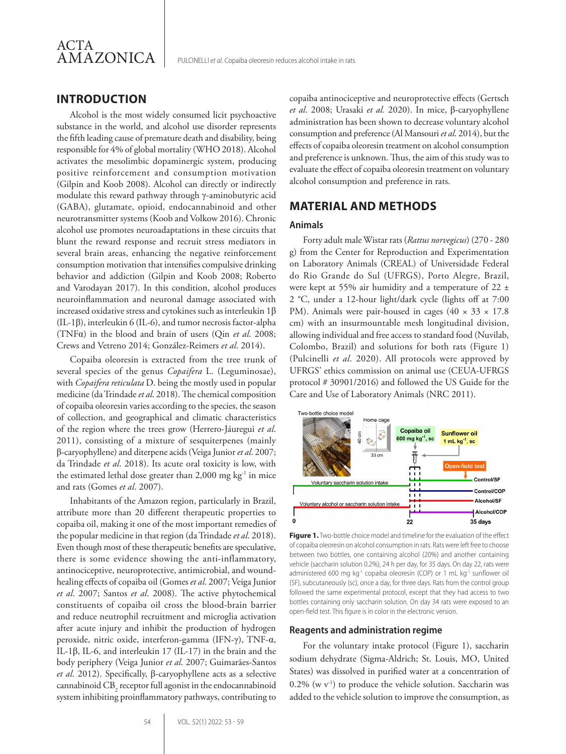

# **INTRODUCTION**

Alcohol is the most widely consumed licit psychoactive substance in the world, and alcohol use disorder represents the fifth leading cause of premature death and disability, being responsible for 4% of global mortality (WHO 2018). Alcohol activates the mesolimbic dopaminergic system, producing positive reinforcement and consumption motivation (Gilpin and Koob 2008). Alcohol can directly or indirectly modulate this reward pathway through γ-aminobutyric acid (GABA), glutamate, opioid, endocannabinoid and other neurotransmitter systems (Koob and Volkow 2016). Chronic alcohol use promotes neuroadaptations in these circuits that blunt the reward response and recruit stress mediators in several brain areas, enhancing the negative reinforcement consumption motivation that intensifies compulsive drinking behavior and addiction (Gilpin and Koob 2008; Roberto and Varodayan 2017). In this condition, alcohol produces neuroinflammation and neuronal damage associated with increased oxidative stress and cytokines such as interleukin 1β (IL-1β), interleukin 6 (IL-6), and tumor necrosis factor-alpha (TNFα) in the blood and brain of users (Qin *et al*. 2008; Crews and Vetreno 2014; González-Reimers *et al*. 2014).

Copaiba oleoresin is extracted from the tree trunk of several species of the genus *Copaifera* L. (Leguminosae), with *Copaifera reticulata* D. being the mostly used in popular medicine (da Trindade *et al*. 2018). The chemical composition of copaiba oleoresin varies according to the species, the season of collection, and geographical and climatic characteristics of the region where the trees grow (Herrero-Jáuregui *et al*. 2011), consisting of a mixture of sesquiterpenes (mainly β-caryophyllene) and diterpene acids (Veiga Junior *et al*. 2007; da Trindade *et al*. 2018). Its acute oral toxicity is low, with the estimated lethal dose greater than  $2,000$  mg kg<sup>-1</sup> in mice and rats (Gomes *et al*. 2007).

Inhabitants of the Amazon region, particularly in Brazil, attribute more than 20 different therapeutic properties to copaiba oil, making it one of the most important remedies of the popular medicine in that region (da Trindade *et al*. 2018). Even though most of these therapeutic benefits are speculative, there is some evidence showing the anti-inflammatory, antinociceptive, neuroprotective, antimicrobial, and woundhealing effects of copaiba oil (Gomes *et al*. 2007; Veiga Junior *et al*. 2007; Santos *et al*. 2008). The active phytochemical constituents of copaiba oil cross the blood-brain barrier and reduce neutrophil recruitment and microglia activation after acute injury and inhibit the production of hydrogen peroxide, nitric oxide, interferon-gamma (IFN-γ), TNF-α, IL-1β, IL-6, and interleukin 17 (IL-17) in the brain and the body periphery (Veiga Junior *et al*. 2007; Guimarães-Santos *et al*. 2012). Specifically, β-caryophyllene acts as a selective cannabinoid  $\text{CB}_\text{2}$  receptor full agonist in the endocannabinoid system inhibiting proinflammatory pathways, contributing to

copaiba antinociceptive and neuroprotective effects (Gertsch *et al*. 2008; Urasaki *et al.* 2020). In mice, β-caryophyllene administration has been shown to decrease voluntary alcohol consumption and preference (Al Mansouri *et al*. 2014), but the effects of copaiba oleoresin treatment on alcohol consumption and preference is unknown. Thus, the aim of this study was to evaluate the effect of copaiba oleoresin treatment on voluntary alcohol consumption and preference in rats.

# **MATERIAL AND METHODS**

#### **Animals**

Forty adult male Wistar rats (*Rattus norvegicus*) (270 - 280 g) from the Center for Reproduction and Experimentation on Laboratory Animals (CREAL) of Universidade Federal do Rio Grande do Sul (UFRGS), Porto Alegre, Brazil, were kept at 55% air humidity and a temperature of 22 ± 2 °C, under a 12-hour light/dark cycle (lights off at 7:00 PM). Animals were pair-housed in cages (40  $\times$  33  $\times$  17.8 cm) with an insurmountable mesh longitudinal division, allowing individual and free access to standard food (Nuvilab, Colombo, Brazil) and solutions for both rats (Figure 1) (Pulcinelli *et al*. 2020). All protocols were approved by UFRGS' ethics commission on animal use (CEUA-UFRGS protocol # 30901/2016) and followed the US Guide for the Care and Use of Laboratory Animals (NRC 2011).



**Figure 1.** Two-bottle choice model and timeline for the evaluation of the effect of copaiba oleoresin on alcohol consumption in rats. Rats were left free to choose between two bottles, one containing alcohol (20%) and another containing vehicle (saccharin solution 0.2%), 24 h per day, for 35 days. On day 22, rats were administered 600 mg kg<sup>-1</sup> copaiba oleoresin (COP) or 1 mL kg<sup>-1</sup> sunflower oil (SF), subcutaneously (sc), once a day, for three days. Rats from the control group followed the same experimental protocol, except that they had access to two bottles containing only saccharin solution. On day 34 rats were exposed to an open-field test. This figure is in color in the electronic version.

#### **Reagents and administration regime**

For the voluntary intake protocol (Figure 1), saccharin sodium dehydrate (Sigma-Aldrich; St. Louis, MO, United States) was dissolved in purified water at a concentration of  $0.2\%$  (w v<sup>-1</sup>) to produce the vehicle solution. Saccharin was added to the vehicle solution to improve the consumption, as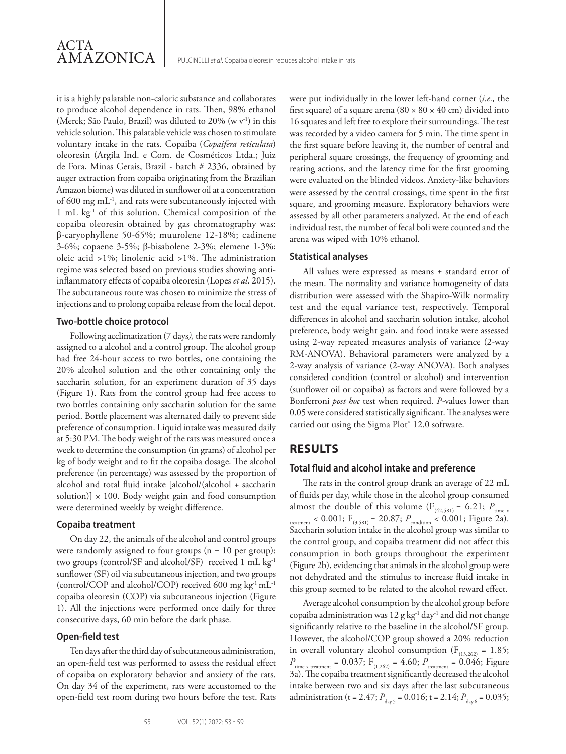it is a highly palatable non-caloric substance and collaborates to produce alcohol dependence in rats. Then, 98% ethanol (Merck; São Paulo, Brazil) was diluted to 20% (w v<sup>-1</sup>) in this vehicle solution. This palatable vehicle was chosen to stimulate voluntary intake in the rats. Copaiba (*Copaifera reticulata*) oleoresin (Argila Ind. e Com. de Cosméticos Ltda.; Juiz de Fora, Minas Gerais, Brazil - batch # 2336, obtained by auger extraction from copaiba originating from the Brazilian Amazon biome) was diluted in sunflower oil at a concentration of 600 mg mL-1, and rats were subcutaneously injected with 1 mL kg-1 of this solution. Chemical composition of the copaiba oleoresin obtained by gas chromatography was: β-caryophyllene 50-65%; muurolene 12-18%; cadinene 3-6%; copaene 3-5%; β-bisabolene 2-3%; elemene 1-3%; oleic acid >1%; linolenic acid >1%. The administration regime was selected based on previous studies showing antiinflammatory effects of copaiba oleoresin (Lopes *et al*. 2015). The subcutaneous route was chosen to minimize the stress of injections and to prolong copaiba release from the local depot.

#### **Two-bottle choice protocol**

Following acclimatization (7 days*),* the rats were randomly assigned to a alcohol and a control group. The alcohol group had free 24-hour access to two bottles, one containing the 20% alcohol solution and the other containing only the saccharin solution, for an experiment duration of 35 days (Figure 1). Rats from the control group had free access to two bottles containing only saccharin solution for the same period. Bottle placement was alternated daily to prevent side preference of consumption. Liquid intake was measured daily at 5:30 PM. The body weight of the rats was measured once a week to determine the consumption (in grams) of alcohol per kg of body weight and to fit the copaiba dosage. The alcohol preference (in percentage) was assessed by the proportion of alcohol and total fluid intake [alcohol/(alcohol + saccharin solution)]  $\times$  100. Body weight gain and food consumption were determined weekly by weight difference.

#### **Copaiba treatment**

On day 22, the animals of the alcohol and control groups were randomly assigned to four groups (n = 10 per group): two groups (control/SF and alcohol/SF) received 1 mL kg-1 sunflower (SF) oil via subcutaneous injection, and two groups (control/COP and alcohol/COP) received 600 mg kg<sup>-1</sup> mL<sup>-1</sup> copaiba oleoresin (COP) via subcutaneous injection (Figure 1). All the injections were performed once daily for three consecutive days, 60 min before the dark phase.

#### **Open-field test**

Ten days after the third day of subcutaneous administration, an open-field test was performed to assess the residual effect of copaiba on exploratory behavior and anxiety of the rats. On day 34 of the experiment, rats were accustomed to the open-field test room during two hours before the test. Rats were put individually in the lower left-hand corner (*i.e.,* the first square) of a square arena  $(80 \times 80 \times 40 \text{ cm})$  divided into 16 squares and left free to explore their surroundings. The test was recorded by a video camera for 5 min. The time spent in the first square before leaving it, the number of central and peripheral square crossings, the frequency of grooming and rearing actions, and the latency time for the first grooming were evaluated on the blinded videos. Anxiety-like behaviors were assessed by the central crossings, time spent in the first square, and grooming measure. Exploratory behaviors were assessed by all other parameters analyzed. At the end of each individual test, the number of fecal boli were counted and the arena was wiped with 10% ethanol.

#### **Statistical analyses**

All values were expressed as means ± standard error of the mean. The normality and variance homogeneity of data distribution were assessed with the Shapiro-Wilk normality test and the equal variance test, respectively. Temporal differences in alcohol and saccharin solution intake, alcohol preference, body weight gain, and food intake were assessed using 2-way repeated measures analysis of variance (2-way RM-ANOVA). Behavioral parameters were analyzed by a 2-way analysis of variance (2-way ANOVA). Both analyses considered condition (control or alcohol) and intervention (sunflower oil or copaiba) as factors and were followed by a Bonferroni *post hoc* test when required. *P-*values lower than 0.05 were considered statistically significant. The analyses were carried out using the Sigma Plot® 12.0 software.

# **RESULTS**

#### **Total fluid and alcohol intake and preference**

The rats in the control group drank an average of 22 mL of fluids per day, while those in the alcohol group consumed almost the double of this volume  $(F_{(42,581)} = 6.21; P_{time x}$ treatment < 0.001;  $F_{(3,581)} = 20.87; P_{\text{condition}} < 0.001;$  Figure 2a). Saccharin solution intake in the alcohol group was similar to the control group, and copaiba treatment did not affect this consumption in both groups throughout the experiment (Figure 2b), evidencing that animals in the alcohol group were not dehydrated and the stimulus to increase fluid intake in this group seemed to be related to the alcohol reward effect.

Average alcohol consumption by the alcohol group before copaiba administration was  $12$  g kg<sup>-1</sup> day<sup>-1</sup> and did not change significantly relative to the baseline in the alcohol/SF group. However, the alcohol/COP group showed a 20% reduction in overall voluntary alcohol consumption ( $F_{(13,262)} = 1.85$ ;  $P_{time x treatment} = 0.037$ ;  $F_{(1,262)} = 4.60$ ;  $P_{treatment} = 0.046$ ; Figure 3a). The copaiba treatment significantly decreased the alcohol intake between two and six days after the last subcutaneous administration (t = 2.47;  $P_{\text{day 5}} = 0.016$ ; t = 2.14;  $P_{\text{day 6}} = 0.035$ ;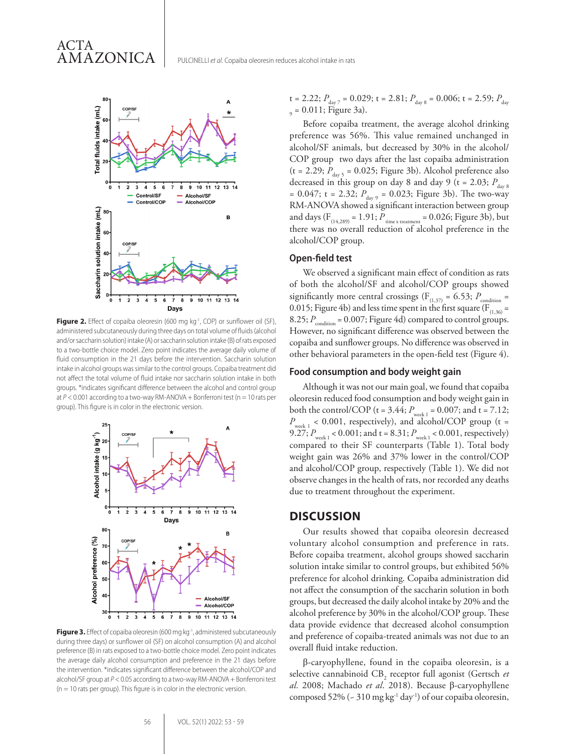

ACTA

AMAZONICA

Figure 2. Effect of copaiba oleoresin (600 mg kg<sup>-1</sup>, COP) or sunflower oil (SF), administered subcutaneously during three days on total volume of fluids (alcohol and/or saccharin solution) intake (A) or saccharin solution intake (B) of rats exposed to a two-bottle choice model. Zero point indicates the average daily volume of fluid consumption in the 21 days before the intervention. Saccharin solution intake in alcohol groups was similar to the control groups. Copaiba treatment did not affect the total volume of fluid intake nor saccharin solution intake in both groups. \*indicates significant difference between the alcohol and control group at  $P < 0.001$  according to a two-way RM-ANOVA + Bonferroni test ( $n = 10$  rats per group). This figure is in color in the electronic version.



Figure 3. Effect of copaiba oleoresin (600 mg kg<sup>-1</sup>, administered subcutaneously during three days) or sunflower oil (SF) on alcohol consumption (A) and alcohol preference (B) in rats exposed to a two-bottle choice model. Zero point indicates the average daily alcohol consumption and preference in the 21 days before the intervention. \*indicates significant difference between the alcohol/COP and alcohol/SF group at *P* < 0.05 according to a two-way RM-ANOVA + Bonferroni test  $(n = 10$  rats per group). This figure is in color in the electronic version.

t = 2.22;  $P_{\text{day 7}}$  = 0.029; t = 2.81;  $P_{\text{day 8}}$  = 0.006; t = 2.59;  $P_{\text{day}}$  $_{9}$  = 0.011; Figure 3a).

Before copaiba treatment, the average alcohol drinking preference was 56%. This value remained unchanged in alcohol/SF animals, but decreased by 30% in the alcohol/ COP group two days after the last copaiba administration  $(t = 2.29; P<sub>day 5</sub> = 0.025; Figure 3b)$ . Alcohol preference also decreased in this group on day 8 and day 9 (t = 2.03;  $P_{\text{day 8}}$ = 0.047; t = 2.32;  $P_{day\,9} = 0.023$ ; Figure 3b). The two-way RM-ANOVA showed a significant interaction between group and days ( $F_{(14,289)} = 1.91; P_{time x treatment} = 0.026; Figure 3b)$ , but there was no overall reduction of alcohol preference in the alcohol/COP group.

#### **Open-field test**

We observed a significant main effect of condition as rats of both the alcohol/SF and alcohol/COP groups showed significantly more central crossings ( $F_{(1,37)} = 6.53$ ;  $P_{\text{condition}} =$ 0.015; Figure 4b) and less time spent in the first square ( $F_{(1,36)}$  = 8.25;  $P_{\text{condition}} = 0.007$ ; Figure 4d) compared to control groups. However, no significant difference was observed between the copaiba and sunflower groups. No difference was observed in other behavioral parameters in the open-field test (Figure 4).

#### **Food consumption and body weight gain**

Although it was not our main goal, we found that copaiba oleoresin reduced food consumption and body weight gain in both the control/COP ( $t = 3.44$ ;  $P_{week 1} = 0.007$ ; and  $t = 7.12$ ;  $P_{\text{week 1}}$  < 0.001, respectively), and alcohol/COP group (t = 9.27;  $P_{\text{week 1}}$  < 0.001; and t = 8.31;  $P_{\text{week 1}}$  < 0.001, respectively) compared to their SF counterparts (Table 1). Total body weight gain was 26% and 37% lower in the control/COP and alcohol/COP group, respectively (Table 1). We did not observe changes in the health of rats, nor recorded any deaths due to treatment throughout the experiment.

#### **DISCUSSION**

Our results showed that copaiba oleoresin decreased voluntary alcohol consumption and preference in rats. Before copaiba treatment, alcohol groups showed saccharin solution intake similar to control groups, but exhibited 56% preference for alcohol drinking. Copaiba administration did not affect the consumption of the saccharin solution in both groups, but decreased the daily alcohol intake by 20% and the alcohol preference by 30% in the alcohol/COP group. These data provide evidence that decreased alcohol consumption and preference of copaiba-treated animals was not due to an overall fluid intake reduction.

β-caryophyllene, found in the copaiba oleoresin, is a selective cannabinoid CB<sub>2</sub> receptor full agonist (Gertsch *et al*. 2008; Machado *et al*. 2018). Because β-caryophyllene composed 52% ( $\sim$  310 mg kg<sup>-1</sup> day<sup>-1</sup>) of our copaiba oleoresin,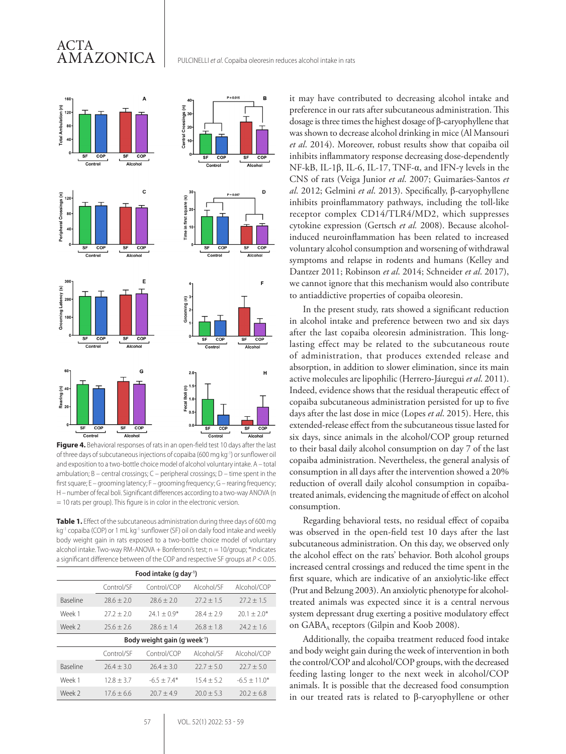# ACTA AMAZONICA



**Figure 4.** Behavioral responses of rats in an open-field test 10 days after the last of three days of subcutaneous injections of copaiba (600 mg kg-1) or sunflower oil and exposition to a two-bottle choice model of alcohol voluntary intake. A – total ambulation; B – central crossings; C – peripheral crossings; D – time spent in the first square; E – grooming latency; F – grooming frequency; G – rearing frequency; H – number of fecal boli. Significant differences according to a two-way ANOVA (n = 10 rats per group). This figure is in color in the electronic version.

**Table 1.** Effect of the subcutaneous administration during three days of 600 mg kg<sup>-1</sup> copaiba (COP) or 1 mL kg<sup>-1</sup> sunflower (SF) oil on daily food intake and weekly body weight gain in rats exposed to a two-bottle choice model of voluntary alcohol intake. Two-way RM-ANOVA + Bonferroni's test;  $n = 10$ /group; \*indicates a significant difference between of the COP and respective SF groups at *P* < 0.05.

| Food intake (g day <sup>1</sup> )        |              |               |              |                |
|------------------------------------------|--------------|---------------|--------------|----------------|
|                                          | Control/SF   | Control/COP   | Alcohol/SF   | Alcohol/COP    |
| <b>Baseline</b>                          | $78.6 + 2.0$ | $78.6 + 7.0$  | $27.2 + 1.5$ | $27.2 + 1.5$   |
| Week 1                                   | $27.2 + 2.0$ | $74.1 + 0.9*$ | $78.4 + 7.9$ | $20.1 + 2.0*$  |
| Week 2                                   | $25.6 + 2.6$ | $78.6 + 1.4$  | $76.8 + 1.8$ | $74.7 + 1.6$   |
| Body weight gain (g week <sup>-1</sup> ) |              |               |              |                |
|                                          | Control/SF   | Control/COP   | Alcohol/SF   | Alcohol/COP    |
| <b>Baseline</b>                          | $76.4 + 3.0$ | $76.4 + 3.0$  | $22.7 + 5.0$ | $22.7 + 5.0$   |
| Week 1                                   | $12.8 + 3.7$ | $-6.5 + 7.4*$ | $15.4 + 5.2$ | $-6.5 + 11.0*$ |
| Week 2                                   | $17.6 + 6.6$ | $70.7 + 4.9$  | $20.0 + 5.3$ | $20.2 + 6.8$   |

was shown to decrease alcohol drinking in mice (Al Mansouri *et al*. 2014). Moreover, robust results show that copaiba oil inhibits inflammatory response decreasing dose-dependently NF-kB, IL-1β, IL-6, IL-17, TNF-α, and IFN-γ levels in the CNS of rats (Veiga Junior *et al*. 2007; Guimarães-Santos *et al*. 2012; Gelmini *et al*. 2013). Specifically, β-caryophyllene inhibits proinflammatory pathways, including the toll-like receptor complex CD14/TLR4/MD2, which suppresses cytokine expression (Gertsch *et al.* 2008). Because alcoholinduced neuroinflammation has been related to increased voluntary alcohol consumption and worsening of withdrawal symptoms and relapse in rodents and humans (Kelley and Dantzer 2011; Robinson *et al*. 2014; Schneider *et al*. 2017), we cannot ignore that this mechanism would also contribute to antiaddictive properties of copaiba oleoresin. In the present study, rats showed a significant reduction

it may have contributed to decreasing alcohol intake and preference in our rats after subcutaneous administration. This dosage is three times the highest dosage of β-caryophyllene that

in alcohol intake and preference between two and six days after the last copaiba oleoresin administration. This longlasting effect may be related to the subcutaneous route of administration, that produces extended release and absorption, in addition to slower elimination, since its main active molecules are lipophilic (Herrero-Jáuregui *et al*. 2011). Indeed, evidence shows that the residual therapeutic effect of copaiba subcutaneous administration persisted for up to five days after the last dose in mice (Lopes *et al*. 2015). Here, this extended-release effect from the subcutaneous tissue lasted for six days, since animals in the alcohol/COP group returned to their basal daily alcohol consumption on day 7 of the last copaiba administration. Nevertheless, the general analysis of consumption in all days after the intervention showed a 20% reduction of overall daily alcohol consumption in copaibatreated animals, evidencing the magnitude of effect on alcohol consumption.

Regarding behavioral tests, no residual effect of copaiba was observed in the open-field test 10 days after the last subcutaneous administration. On this day, we observed only the alcohol effect on the rats' behavior. Both alcohol groups increased central crossings and reduced the time spent in the first square, which are indicative of an anxiolytic-like effect (Prut and Belzung 2003). An anxiolytic phenotype for alcoholtreated animals was expected since it is a central nervous system depressant drug exerting a positive modulatory effect on  $GABA_A$  receptors (Gilpin and Koob 2008).

Additionally, the copaiba treatment reduced food intake and body weight gain during the week of intervention in both the control/COP and alcohol/COP groups, with the decreased feeding lasting longer to the next week in alcohol/COP animals. It is possible that the decreased food consumption in our treated rats is related to β-caryophyllene or other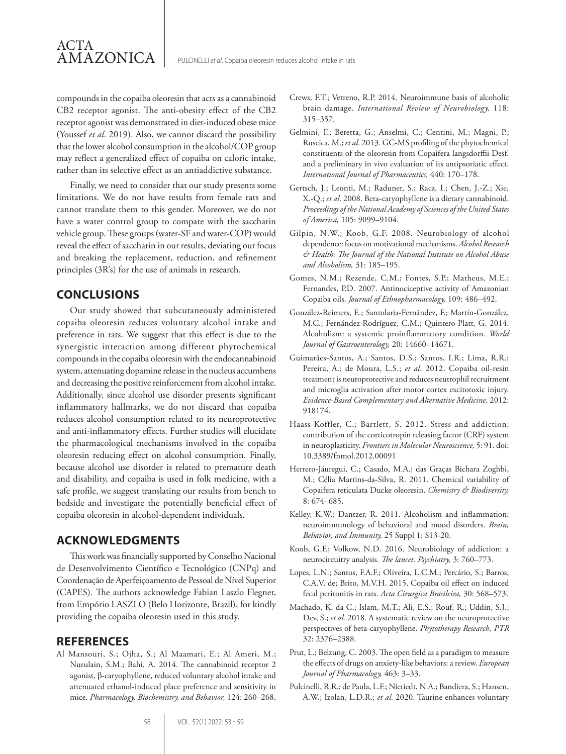compounds in the copaiba oleoresin that acts as a cannabinoid CB2 receptor agonist. The anti-obesity effect of the CB2 receptor agonist was demonstrated in diet-induced obese mice (Youssef *et al*. 2019). Also, we cannot discard the possibility that the lower alcohol consumption in the alcohol/COP group may reflect a generalized effect of copaiba on caloric intake, rather than its selective effect as an antiaddictive substance.

Finally, we need to consider that our study presents some limitations. We do not have results from female rats and cannot translate them to this gender. Moreover, we do not have a water control group to compare with the saccharin vehicle group. These groups (water-SF and water-COP) would reveal the effect of saccharin in our results, deviating our focus and breaking the replacement, reduction, and refinement principles (3R's) for the use of animals in research.

# **CONCLUSIONS**

ACTA

AMAZONICA

Our study showed that subcutaneously administered copaiba oleoresin reduces voluntary alcohol intake and preference in rats. We suggest that this effect is due to the synergistic interaction among different phytochemical compounds in the copaiba oleoresin with the endocannabinoid system, attenuating dopamine release in the nucleus accumbens and decreasing the positive reinforcement from alcohol intake. Additionally, since alcohol use disorder presents significant inflammatory hallmarks, we do not discard that copaiba reduces alcohol consumption related to its neuroprotective and anti-inflammatory effects. Further studies will elucidate the pharmacological mechanisms involved in the copaiba oleoresin reducing effect on alcohol consumption. Finally, because alcohol use disorder is related to premature death and disability, and copaiba is used in folk medicine, with a safe profile, we suggest translating our results from bench to bedside and investigate the potentially beneficial effect of copaiba oleoresin in alcohol-dependent individuals.

### **ACKNOWLEDGMENTS**

This work was financially supported by Conselho Nacional de Desenvolvimento Científico e Tecnológico (CNPq) and Coordenação de Aperfeiçoamento de Pessoal de Nível Superior (CAPES). The authors acknowledge Fabian Laszlo Flegner, from Empório LASZLO (Belo Horizonte, Brazil), for kindly providing the copaiba oleoresin used in this study.

#### **REFERENCES**

Al Mansouri, S.; Ojha, S.; Al Maamari, E.; Al Ameri, M.; Nurulain, S.M.; Bahi, A. 2014. The cannabinoid receptor 2 agonist, β-caryophyllene, reduced voluntary alcohol intake and attenuated ethanol-induced place preference and sensitivity in mice. *Pharmacology, Biochemistry, and Behavior,* 124: 260–268.

- Crews, F.T.; Vetreno, R.P. 2014. Neuroimmune basis of alcoholic brain damage. *International Review of Neurobiology,* 118: 315–357.
- Gelmini, F.; Beretta, G.; Anselmi, C.; Centini, M.; Magni, P.; Ruscica, M.; *et al*. 2013. GC-MS profiling of the phytochemical constituents of the oleoresin from Copaifera langsdorffii Desf. and a preliminary in vivo evaluation of its antipsoriatic effect. *International Journal of Pharmaceutics,* 440: 170–178.
- Gertsch, J.; Leonti, M.; Raduner, S.; Racz, I.; Chen, J.-Z.; Xie, X.-Q.; *et al*. 2008. Beta-caryophyllene is a dietary cannabinoid. *Proceedings of the National Academy of Sciences of the United States of America,* 105: 9099–9104.
- Gilpin, N.W.; Koob, G.F. 2008. Neurobiology of alcohol dependence: focus on motivational mechanisms. *Alcohol Research & Health: The Journal of the National Institute on Alcohol Abuse and Alcoholism,* 31: 185–195.
- Gomes, N.M.; Rezende, C.M.; Fontes, S.P.; Matheus, M.E.; Fernandes, P.D. 2007. Antinociceptive activity of Amazonian Copaiba oils. *Journal of Ethnopharmacology,* 109: 486–492.
- González-Reimers, E.; Santolaria-Fernández, F.; Martín-González, M.C.; Fernández-Rodríguez, C.M.; Quintero-Platt, G. 2014. Alcoholism: a systemic proinflammatory condition. *World Journal of Gastroenterology,* 20: 14660–14671.
- Guimarães-Santos, A.; Santos, D.S.; Santos, I.R.; Lima, R.R.; Pereira, A.; de Moura, L.S.; *et al*. 2012. Copaiba oil-resin treatment is neuroprotective and reduces neutrophil recruitment and microglia activation after motor cortex excitotoxic injury. *Evidence-Based Complementary and Alternative Medicine,* 2012: 918174.
- Haass-Koffler, C.; Bartlett, S. 2012. Stress and addiction: contribution of the corticotropin releasing factor (CRF) system in neuroplasticity. *Frontiers in Molecular Neuroscience,* 5: 91. doi: 10.3389/fnmol.2012.00091
- Herrero-Jáuregui, C.; Casado, M.A.; das Graças Bichara Zoghbi, M.; Célia Martins-da-Silva, R. 2011. Chemical variability of Copaifera reticulata Ducke oleoresin. *Chemistry & Biodiversity,* 8: 674–685.
- Kelley, K.W.; Dantzer, R. 2011. Alcoholism and inflammation: neuroimmunology of behavioral and mood disorders. *Brain, Behavior, and Immunity,* 25 Suppl 1: S13-20.
- Koob, G.F.; Volkow, N.D. 2016. Neurobiology of addiction: a neurocircuitry analysis. *The lancet. Psychiatry,* 3: 760–773.
- Lopes, L.N.; Santos, F.A.F.; Oliveira, L.C.M.; Percário, S.; Barros, C.A.V. de; Brito, M.V.H. 2015. Copaiba oil effect on induced fecal peritonitis in rats. *Acta Cirurgica Brasileira,* 30: 568–573.
- Machado, K. da C.; Islam, M.T.; Ali, E.S.; Rouf, R.; Uddin, S.J.; Dev, S.; *et al.* 2018. A systematic review on the neuroprotective perspectives of beta-caryophyllene. *Phytotherapy Research, PTR* 32: 2376–2388.
- Prut, L.; Belzung, C. 2003. The open field as a paradigm to measure the effects of drugs on anxiety-like behaviors: a review. *European Journal of Pharmacology,* 463: 3–33.
- Pulcinelli, R.R.; de Paula, L.F.; Nietiedt, N.A.; Bandiera, S.; Hansen, A.W.; Izolan, L.D.R.; *et al*. 2020. Taurine enhances voluntary